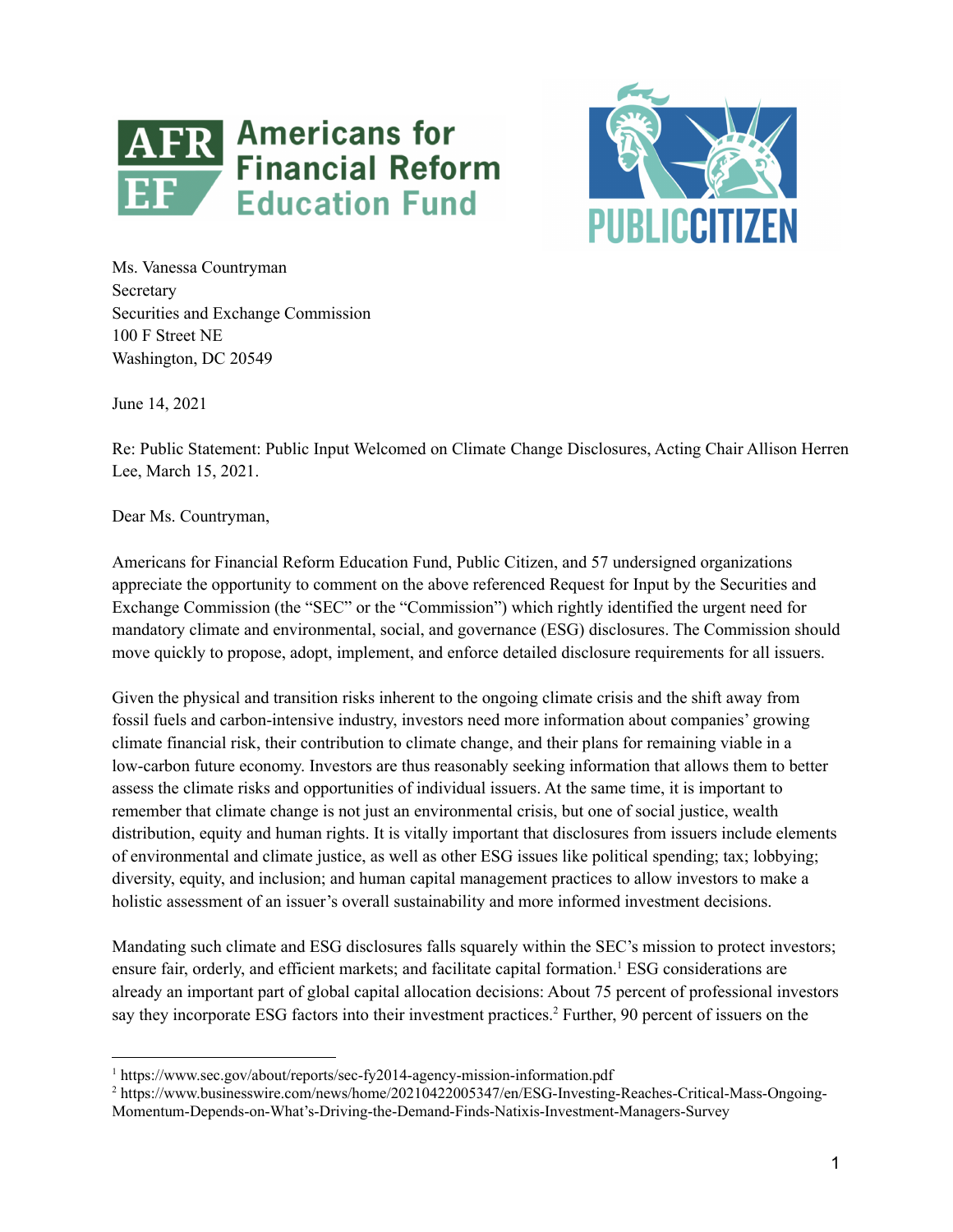



Ms. Vanessa Countryman Secretary Securities and Exchange Commission 100 F Street NE Washington, DC 20549

June 14, 2021

Re: Public Statement: Public Input Welcomed on Climate Change Disclosures, Acting Chair Allison Herren Lee, March 15, 2021.

Dear Ms. Countryman,

Americans for Financial Reform Education Fund, Public Citizen, and 57 undersigned organizations appreciate the opportunity to comment on the above referenced Request for Input by the Securities and Exchange Commission (the "SEC" or the "Commission") which rightly identified the urgent need for mandatory climate and environmental, social, and governance (ESG) disclosures. The Commission should move quickly to propose, adopt, implement, and enforce detailed disclosure requirements for all issuers.

Given the physical and transition risks inherent to the ongoing climate crisis and the shift away from fossil fuels and carbon-intensive industry, investors need more information about companies' growing climate financial risk, their contribution to climate change, and their plans for remaining viable in a low-carbon future economy. Investors are thus reasonably seeking information that allows them to better assess the climate risks and opportunities of individual issuers. At the same time, it is important to remember that climate change is not just an environmental crisis, but one of social justice, wealth distribution, equity and human rights. It is vitally important that disclosures from issuers include elements of environmental and climate justice, as well as other ESG issues like political spending; tax; lobbying; diversity, equity, and inclusion; and human capital management practices to allow investors to make a holistic assessment of an issuer's overall sustainability and more informed investment decisions.

Mandating such climate and ESG disclosures falls squarely within the SEC's mission to protect investors; ensure fair, orderly, and efficient markets; and facilitate capital formation.<sup>1</sup> ESG considerations are already an important part of global capital allocation decisions: About 75 percent of professional investors say they incorporate ESG factors into their investment practices.<sup>2</sup> Further, 90 percent of issuers on the

<sup>&</sup>lt;sup>1</sup> https://www.sec.gov/about/reports/sec-fy2014-agency-mission-information.pdf

<sup>2</sup> https://www.businesswire.com/news/home/20210422005347/en/ESG-Investing-Reaches-Critical-Mass-Ongoing-Momentum-Depends-on-What's-Driving-the-Demand-Finds-Natixis-Investment-Managers-Survey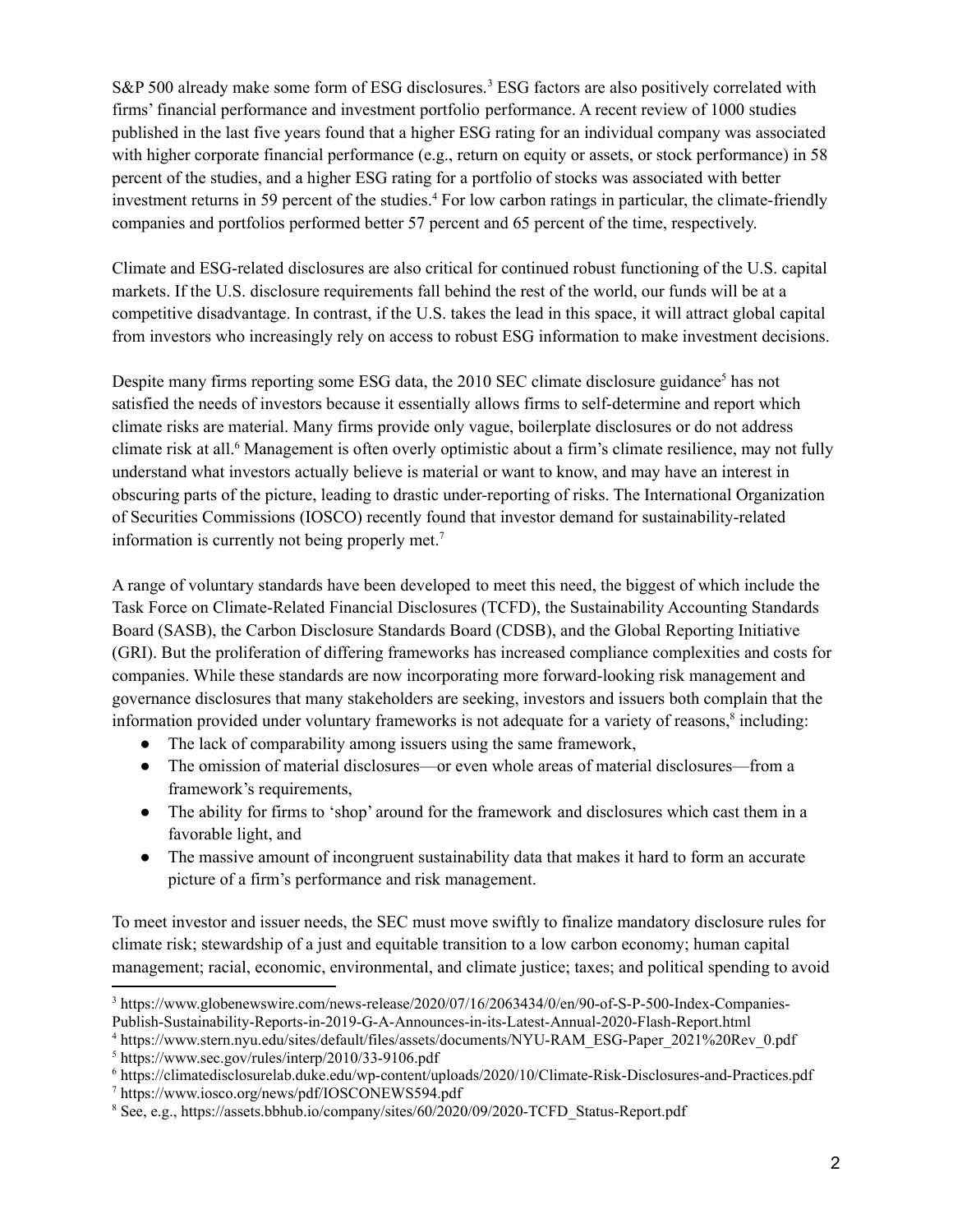S&P 500 already make some form of ESG disclosures.<sup>3</sup> ESG factors are also positively correlated with firms' financial performance and investment portfolio performance. A recent review of 1000 studies published in the last five years found that a higher ESG rating for an individual company was associated with higher corporate financial performance (e.g., return on equity or assets, or stock performance) in 58 percent of the studies, and a higher ESG rating for a portfolio of stocks was associated with better investment returns in 59 percent of the studies. <sup>4</sup> For low carbon ratings in particular, the climate-friendly companies and portfolios performed better 57 percent and 65 percent of the time, respectively.

Climate and ESG-related disclosures are also critical for continued robust functioning of the U.S. capital markets. If the U.S. disclosure requirements fall behind the rest of the world, our funds will be at a competitive disadvantage. In contrast, if the U.S. takes the lead in this space, it will attract global capital from investors who increasingly rely on access to robust ESG information to make investment decisions.

Despite many firms reporting some ESG data, the 2010 SEC climate disclosure guidance<sup>5</sup> has not satisfied the needs of investors because it essentially allows firms to self-determine and report which climate risks are material. Many firms provide only vague, boilerplate disclosures or do not address climate risk at all. <sup>6</sup> Management is often overly optimistic about a firm's climate resilience, may not fully understand what investors actually believe is material or want to know, and may have an interest in obscuring parts of the picture, leading to drastic under-reporting of risks. The International Organization of Securities Commissions (IOSCO) recently found that investor demand for sustainability-related information is currently not being properly met. 7

A range of voluntary standards have been developed to meet this need, the biggest of which include the Task Force on Climate-Related Financial Disclosures (TCFD), the Sustainability Accounting Standards Board (SASB), the Carbon Disclosure Standards Board (CDSB), and the Global Reporting Initiative (GRI). But the proliferation of differing frameworks has increased compliance complexities and costs for companies. While these standards are now incorporating more forward-looking risk management and governance disclosures that many stakeholders are seeking, investors and issuers both complain that the information provided under voluntary frameworks is not adequate for a variety of reasons, 8 including:

- The lack of comparability among issuers using the same framework,
- The omission of material disclosures—or even whole areas of material disclosures—from a framework's requirements,
- The ability for firms to 'shop' around for the framework and disclosures which cast them in a favorable light, and
- The massive amount of incongruent sustainability data that makes it hard to form an accurate picture of a firm's performance and risk management.

To meet investor and issuer needs, the SEC must move swiftly to finalize mandatory disclosure rules for climate risk; stewardship of a just and equitable transition to a low carbon economy; human capital management; racial, economic, environmental, and climate justice; taxes; and political spending to avoid

<sup>3</sup> https://www.globenewswire.com/news-release/2020/07/16/2063434/0/en/90-of-S-P-500-Index-Companies-Publish-Sustainability-Reports-in-2019-G-A-Announces-in-its-Latest-Annual-2020-Flash-Report.html

<sup>4</sup> https://www.stern.nyu.edu/sites/default/files/assets/documents/NYU-RAM\_ESG-Paper\_2021%20Rev\_0.pdf

<sup>5</sup> https://www.sec.gov/rules/interp/2010/33-9106.pdf

<sup>6</sup> https://climatedisclosurelab.duke.edu/wp-content/uploads/2020/10/Climate-Risk-Disclosures-and-Practices.pdf

<sup>7</sup> https://www.iosco.org/news/pdf/IOSCONEWS594.pdf

<sup>&</sup>lt;sup>8</sup> See, e.g., https://assets.bbhub.io/company/sites/60/2020/09/2020-TCFD\_Status-Report.pdf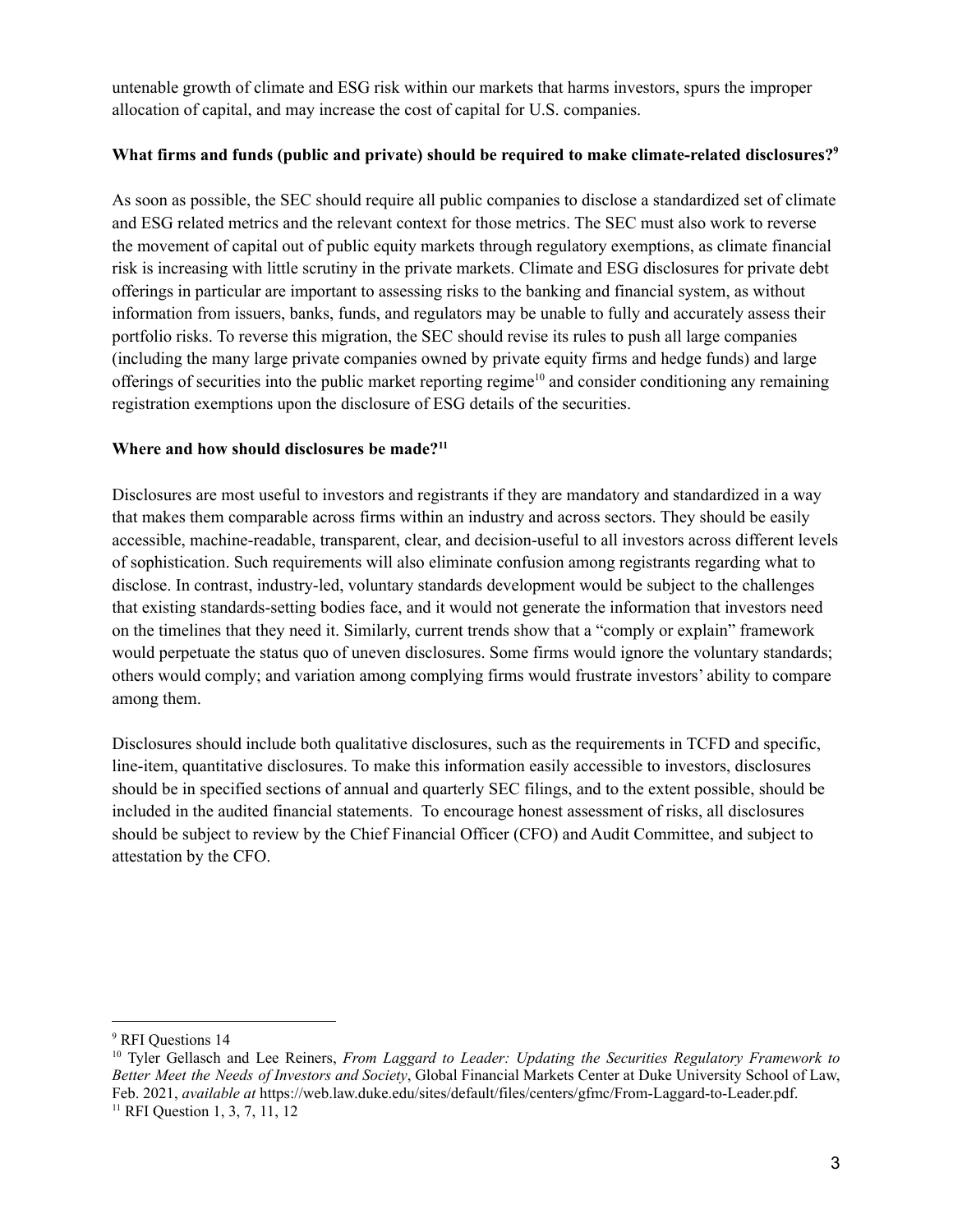untenable growth of climate and ESG risk within our markets that harms investors, spurs the improper allocation of capital, and may increase the cost of capital for U.S. companies.

### **What firms and funds (public and private) should be required to make climate-related disclosures? 9**

As soon as possible, the SEC should require all public companies to disclose a standardized set of climate and ESG related metrics and the relevant context for those metrics. The SEC must also work to reverse the movement of capital out of public equity markets through regulatory exemptions, as climate financial risk is increasing with little scrutiny in the private markets. Climate and ESG disclosures for private debt offerings in particular are important to assessing risks to the banking and financial system, as without information from issuers, banks, funds, and regulators may be unable to fully and accurately assess their portfolio risks. To reverse this migration, the SEC should revise its rules to push all large companies (including the many large private companies owned by private equity firms and hedge funds) and large offerings of securities into the public market reporting regime<sup>10</sup> and consider conditioning any remaining registration exemptions upon the disclosure of ESG details of the securities.

# **Where and how should disclosures be made? 11**

Disclosures are most useful to investors and registrants if they are mandatory and standardized in a way that makes them comparable across firms within an industry and across sectors. They should be easily accessible, machine-readable, transparent, clear, and decision-useful to all investors across different levels of sophistication. Such requirements will also eliminate confusion among registrants regarding what to disclose. In contrast, industry-led, voluntary standards development would be subject to the challenges that existing standards-setting bodies face, and it would not generate the information that investors need on the timelines that they need it. Similarly, current trends show that a "comply or explain" framework would perpetuate the status quo of uneven disclosures. Some firms would ignore the voluntary standards; others would comply; and variation among complying firms would frustrate investors' ability to compare among them.

Disclosures should include both qualitative disclosures, such as the requirements in TCFD and specific, line-item, quantitative disclosures. To make this information easily accessible to investors, disclosures should be in specified sections of annual and quarterly SEC filings, and to the extent possible, should be included in the audited financial statements. To encourage honest assessment of risks, all disclosures should be subject to review by the Chief Financial Officer (CFO) and Audit Committee, and subject to attestation by the CFO.

<sup>&</sup>lt;sup>9</sup> RFI Ouestions 14

<sup>&</sup>lt;sup>11</sup> RFI Question 1, 3, 7, 11, 12 <sup>10</sup> Tyler Gellasch and Lee Reiners, *From Laggard to Leader: Updating the Securities Regulatory Framework to Better Meet the Needs of Investors and Society*, Global Financial Markets Center at Duke University School of Law, Feb. 2021, *available at* https://web.law.duke.edu/sites/default/files/centers/gfmc/From-Laggard-to-Leader.pdf.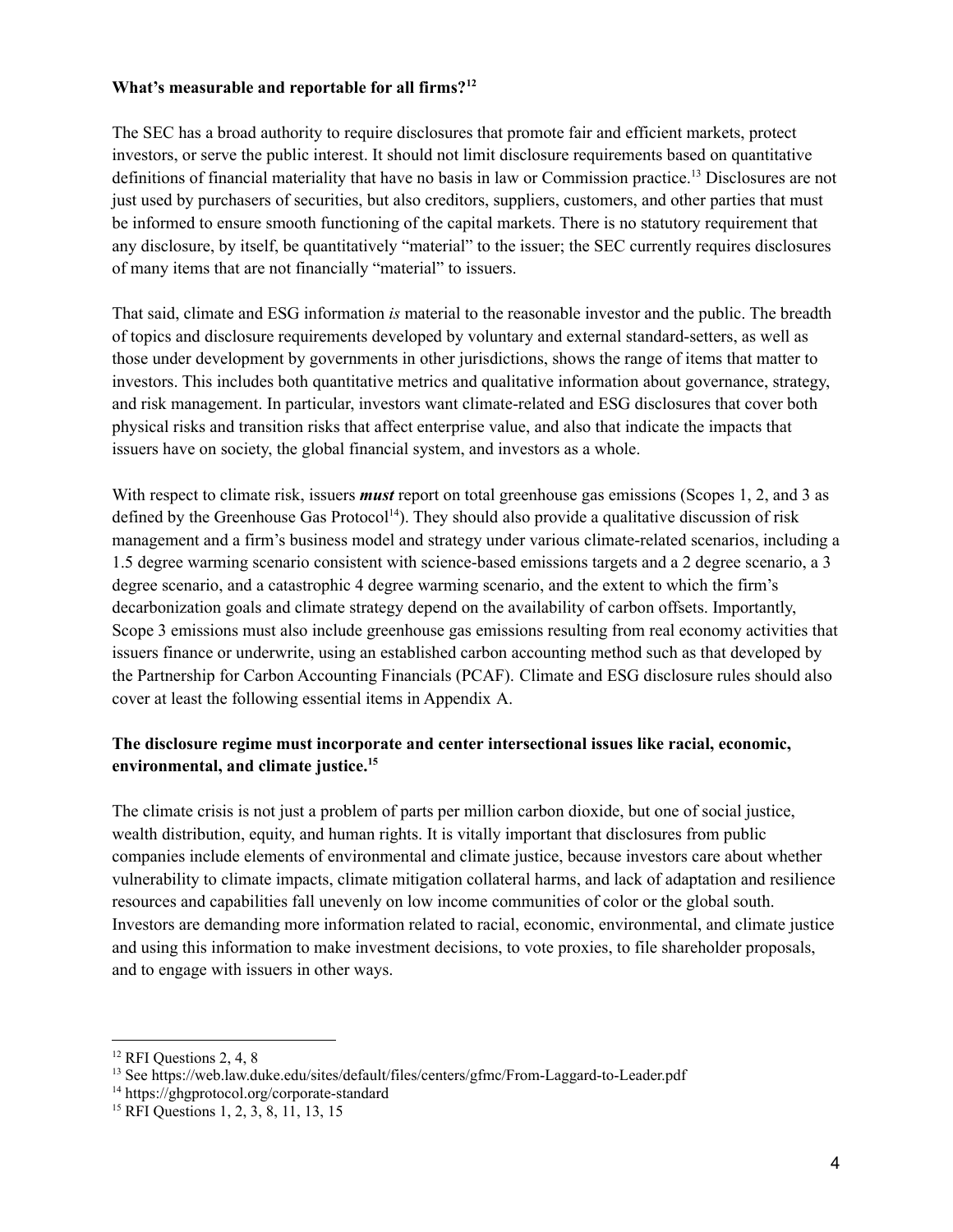#### **What's measurable and reportable for all firms? 12**

The SEC has a broad authority to require disclosures that promote fair and efficient markets, protect investors, or serve the public interest. It should not limit disclosure requirements based on quantitative definitions of financial materiality that have no basis in law or Commission practice. <sup>13</sup> Disclosures are not just used by purchasers of securities, but also creditors, suppliers, customers, and other parties that must be informed to ensure smooth functioning of the capital markets. There is no statutory requirement that any disclosure, by itself, be quantitatively "material" to the issuer; the SEC currently requires disclosures of many items that are not financially "material" to issuers.

That said, climate and ESG information *is* material to the reasonable investor and the public. The breadth of topics and disclosure requirements developed by voluntary and external standard-setters, as well as those under development by governments in other jurisdictions, shows the range of items that matter to investors. This includes both quantitative metrics and qualitative information about governance, strategy, and risk management. In particular, investors want climate-related and ESG disclosures that cover both physical risks and transition risks that affect enterprise value, and also that indicate the impacts that issuers have on society, the global financial system, and investors as a whole.

With respect to climate risk, issuers *must* report on total greenhouse gas emissions (Scopes 1, 2, and 3 as defined by the Greenhouse Gas Protocol<sup>14</sup>). They should also provide a qualitative discussion of risk management and a firm's business model and strategy under various climate-related scenarios, including a 1.5 degree warming scenario consistent with science-based emissions targets and a 2 degree scenario, a 3 degree scenario, and a catastrophic 4 degree warming scenario, and the extent to which the firm's decarbonization goals and climate strategy depend on the availability of carbon offsets. Importantly, Scope 3 emissions must also include greenhouse gas emissions resulting from real economy activities that issuers finance or underwrite, using an established carbon accounting method such as that developed by the Partnership for Carbon Accounting Financials (PCAF). Climate and ESG disclosure rules should also cover at least the following essential items in Appendix A.

# **The disclosure regime must incorporate and center intersectional issues like racial, economic, environmental, and climate justice. 15**

The climate crisis is not just a problem of parts per million carbon dioxide, but one of social justice, wealth distribution, equity, and human rights. It is vitally important that disclosures from public companies include elements of environmental and climate justice, because investors care about whether vulnerability to climate impacts, climate mitigation collateral harms, and lack of adaptation and resilience resources and capabilities fall unevenly on low income communities of color or the global south. Investors are demanding more information related to racial, economic, environmental, and climate justice and using this information to make investment decisions, to vote proxies, to file shareholder proposals, and to engage with issuers in other ways.

<sup>&</sup>lt;sup>12</sup> RFI Questions 2, 4, 8

<sup>13</sup> See https://web.law.duke.edu/sites/default/files/centers/gfmc/From-Laggard-to-Leader.pdf

<sup>14</sup> https://ghgprotocol.org/corporate-standard

<sup>&</sup>lt;sup>15</sup> RFI Questions 1, 2, 3, 8, 11, 13, 15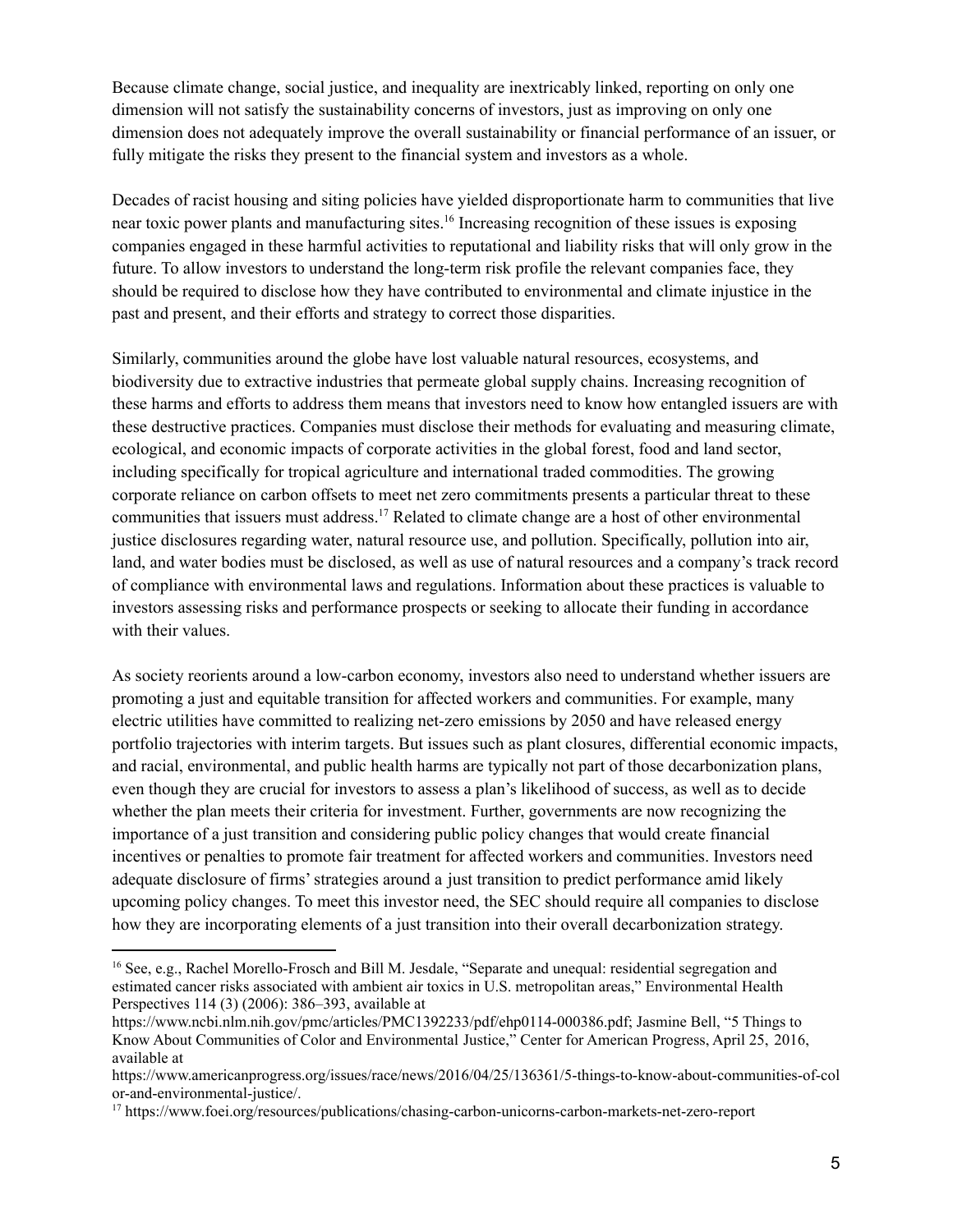Because climate change, social justice, and inequality are inextricably linked, reporting on only one dimension will not satisfy the sustainability concerns of investors, just as improving on only one dimension does not adequately improve the overall sustainability or financial performance of an issuer, or fully mitigate the risks they present to the financial system and investors as a whole.

Decades of racist housing and siting policies have yielded disproportionate harm to communities that live near toxic power plants and manufacturing sites. 16 Increasing recognition of these issues is exposing companies engaged in these harmful activities to reputational and liability risks that will only grow in the future. To allow investors to understand the long-term risk profile the relevant companies face, they should be required to disclose how they have contributed to environmental and climate injustice in the past and present, and their efforts and strategy to correct those disparities.

Similarly, communities around the globe have lost valuable natural resources, ecosystems, and biodiversity due to extractive industries that permeate global supply chains. Increasing recognition of these harms and efforts to address them means that investors need to know how entangled issuers are with these destructive practices. Companies must disclose their methods for evaluating and measuring climate, ecological, and economic impacts of corporate activities in the global forest, food and land sector, including specifically for tropical agriculture and international traded commodities. The growing corporate reliance on carbon offsets to meet net zero commitments presents a particular threat to these communities that issuers must address. <sup>17</sup> Related to climate change are a host of other environmental justice disclosures regarding water, natural resource use, and pollution. Specifically, pollution into air, land, and water bodies must be disclosed, as well as use of natural resources and a company's track record of compliance with environmental laws and regulations. Information about these practices is valuable to investors assessing risks and performance prospects or seeking to allocate their funding in accordance with their values.

As society reorients around a low-carbon economy, investors also need to understand whether issuers are promoting a just and equitable transition for affected workers and communities. For example, many electric utilities have committed to realizing net-zero emissions by 2050 and have released energy portfolio trajectories with interim targets. But issues such as plant closures, differential economic impacts, and racial, environmental, and public health harms are typically not part of those decarbonization plans, even though they are crucial for investors to assess a plan's likelihood of success, as well as to decide whether the plan meets their criteria for investment. Further, governments are now recognizing the importance of a just transition and considering public policy changes that would create financial incentives or penalties to promote fair treatment for affected workers and communities. Investors need adequate disclosure of firms'strategies around a just transition to predict performance amid likely upcoming policy changes. To meet this investor need, the SEC should require all companies to disclose how they are incorporating elements of a just transition into their overall decarbonization strategy.

<sup>&</sup>lt;sup>16</sup> See, e.g., Rachel Morello-Frosch and Bill M. Jesdale, "Separate and unequal: residential segregation and estimated cancer risks associated with ambient air toxics in U.S. metropolitan areas," Environmental Health Perspectives 114 (3) (2006): 386–393, available at

[https://www.ncbi.nlm.nih.gov/pmc/articles/PMC1392233/pdf/ehp0114-000386.pdf;](https://www.ncbi.nlm.nih.gov/pmc/articles/PMC1392233/pdf/ehp0114-000386.pdf) Jasmine Bell, "5 Things to Know About Communities of Color and Environmental Justice," Center for American Progress, April 25, 2016, available at

[https://www.americanprogress.org/issues/race/news/2016/04/25/136361/5-things-to-know-about-communities-of-col](https://www.americanprogress.org/issues/race/news/2016/04/25/136361/5-things-to-know-about-communities-of-color-and-environmental-justice/) [or-and-environmental-justice/](https://www.americanprogress.org/issues/race/news/2016/04/25/136361/5-things-to-know-about-communities-of-color-and-environmental-justice/).

<sup>17</sup> https://www.foei.org/resources/publications/chasing-carbon-unicorns-carbon-markets-net-zero-report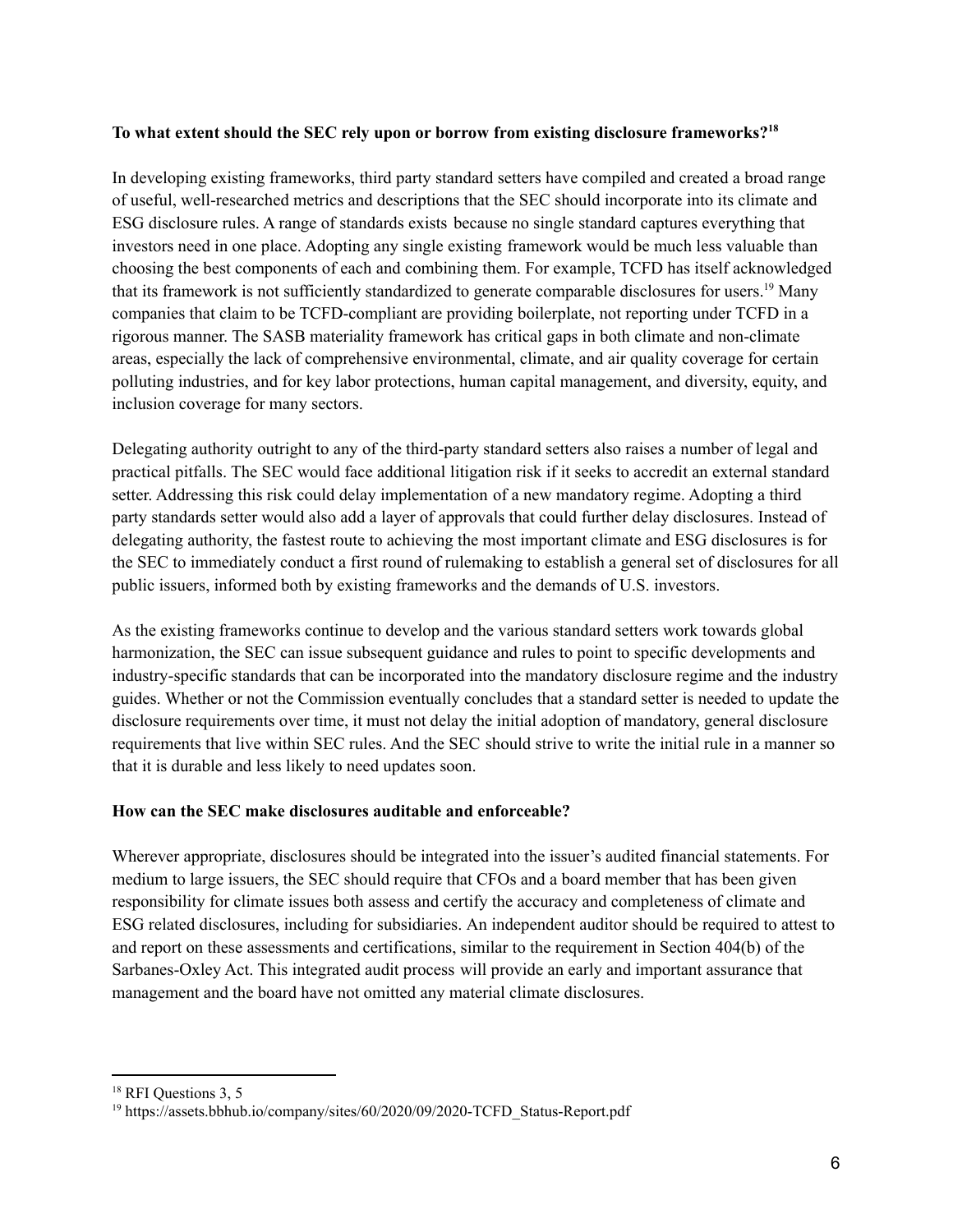# **To what extent should the SEC rely upon or borrow from existing disclosure frameworks? 18**

In developing existing frameworks, third party standard setters have compiled and created a broad range of useful, well-researched metrics and descriptions that the SEC should incorporate into its climate and ESG disclosure rules. A range of standards exists because no single standard captures everything that investors need in one place. Adopting any single existing framework would be much less valuable than choosing the best components of each and combining them. For example, TCFD has itself acknowledged that its framework is not sufficiently standardized to generate comparable disclosures for users. <sup>19</sup> Many companies that claim to be TCFD-compliant are providing boilerplate, not reporting under TCFD in a rigorous manner. The SASB materiality framework has critical gaps in both climate and non-climate areas, especially the lack of comprehensive environmental, climate, and air quality coverage for certain polluting industries, and for key labor protections, human capital management, and diversity, equity, and inclusion coverage for many sectors.

Delegating authority outright to any of the third-party standard setters also raises a number of legal and practical pitfalls. The SEC would face additional litigation risk if it seeks to accredit an external standard setter. Addressing this risk could delay implementation of a new mandatory regime. Adopting a third party standards setter would also add a layer of approvals that could further delay disclosures. Instead of delegating authority, the fastest route to achieving the most important climate and ESG disclosures is for the SEC to immediately conduct a first round of rulemaking to establish a general set of disclosures for all public issuers, informed both by existing frameworks and the demands of U.S. investors.

As the existing frameworks continue to develop and the various standard setters work towards global harmonization, the SEC can issue subsequent guidance and rules to point to specific developments and industry-specific standards that can be incorporated into the mandatory disclosure regime and the industry guides. Whether or not the Commission eventually concludes that a standard setter is needed to update the disclosure requirements over time, it must not delay the initial adoption of mandatory, general disclosure requirements that live within SEC rules. And the SEC should strive to write the initial rule in a manner so that it is durable and less likely to need updates soon.

#### **How can the SEC make disclosures auditable and enforceable?**

Wherever appropriate, disclosures should be integrated into the issuer's audited financial statements. For medium to large issuers, the SEC should require that CFOs and a board member that has been given responsibility for climate issues both assess and certify the accuracy and completeness of climate and ESG related disclosures, including for subsidiaries. An independent auditor should be required to attest to and report on these assessments and certifications, similar to the requirement in Section 404(b) of the Sarbanes-Oxley Act. This integrated audit process will provide an early and important assurance that management and the board have not omitted any material climate disclosures.

<sup>&</sup>lt;sup>18</sup> RFI Questions 3, 5

<sup>&</sup>lt;sup>19</sup> https://assets.bbhub.io/company/sites/60/2020/09/2020-TCFD\_Status-Report.pdf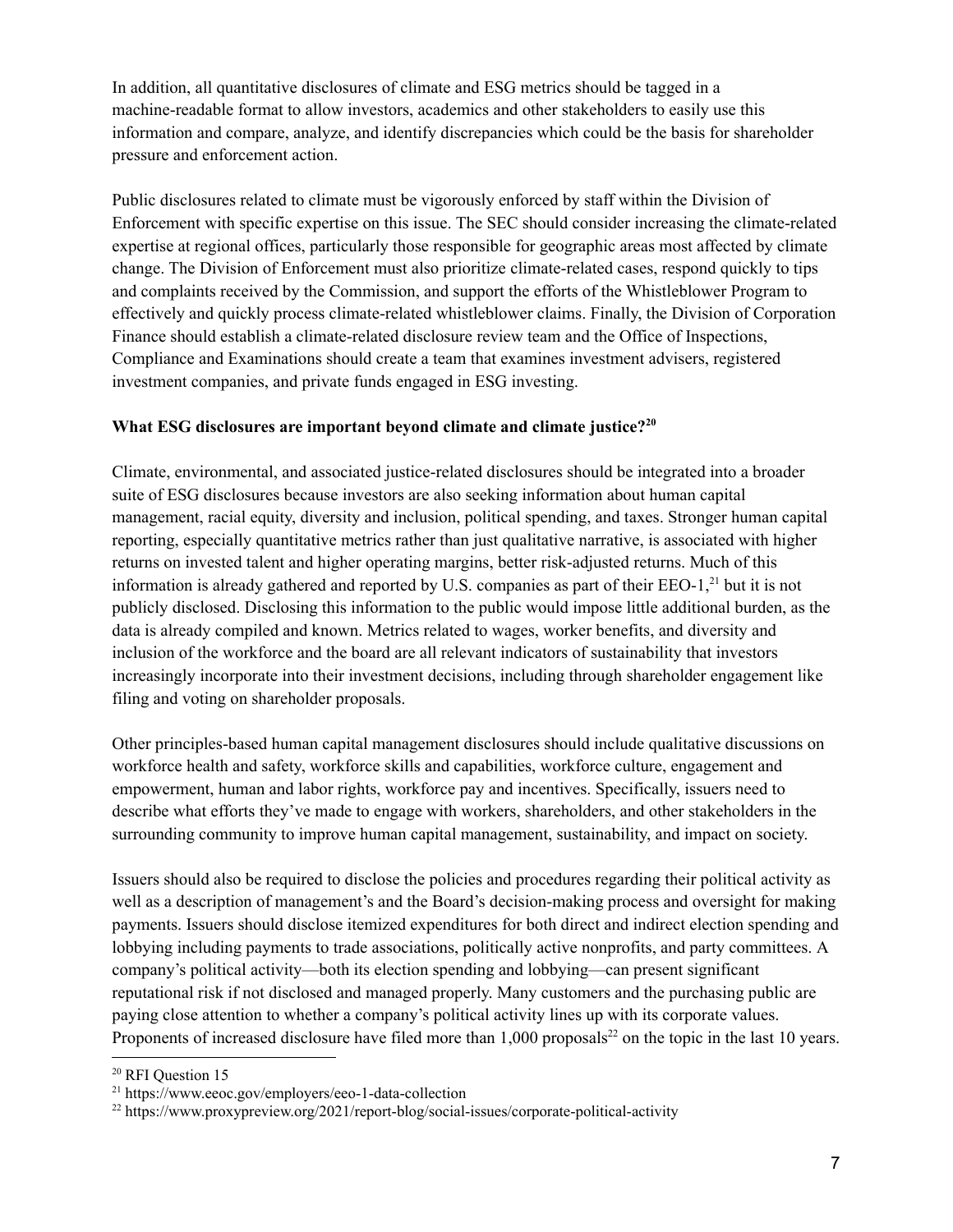In addition, all quantitative disclosures of climate and ESG metrics should be tagged in a machine-readable format to allow investors, academics and other stakeholders to easily use this information and compare, analyze, and identify discrepancies which could be the basis for shareholder pressure and enforcement action.

Public disclosures related to climate must be vigorously enforced by staff within the Division of Enforcement with specific expertise on this issue. The SEC should consider increasing the climate-related expertise at regional offices, particularly those responsible for geographic areas most affected by climate change. The Division of Enforcement must also prioritize climate-related cases, respond quickly to tips and complaints received by the Commission, and support the efforts of the Whistleblower Program to effectively and quickly process climate-related whistleblower claims. Finally, the Division of Corporation Finance should establish a climate-related disclosure review team and the Office of Inspections, Compliance and Examinations should create a team that examines investment advisers, registered investment companies, and private funds engaged in ESG investing.

### **What ESG disclosures are important beyond climate and climate justice? 20**

Climate, environmental, and associated justice-related disclosures should be integrated into a broader suite of ESG disclosures because investors are also seeking information about human capital management, racial equity, diversity and inclusion, political spending, and taxes. Stronger human capital reporting, especially quantitative metrics rather than just qualitative narrative, is associated with higher returns on invested talent and higher operating margins, better risk-adjusted returns. Much of this information is already gathered and reported by U.S. companies as part of their EEO-1, <sup>21</sup> but it is not publicly disclosed. Disclosing this information to the public would impose little additional burden, as the data is already compiled and known. Metrics related to wages, worker benefits, and diversity and inclusion of the workforce and the board are all relevant indicators of sustainability that investors increasingly incorporate into their investment decisions, including through shareholder engagement like filing and voting on shareholder proposals.

Other principles-based human capital management disclosures should include qualitative discussions on workforce health and safety, workforce skills and capabilities, workforce culture, engagement and empowerment, human and labor rights, workforce pay and incentives. Specifically, issuers need to describe what efforts they've made to engage with workers, shareholders, and other stakeholders in the surrounding community to improve human capital management, sustainability, and impact on society.

Issuers should also be required to disclose the policies and procedures regarding their political activity as well as a description of management's and the Board's decision-making process and oversight for making payments. Issuers should disclose itemized expenditures for both direct and indirect election spending and lobbying including payments to trade associations, politically active nonprofits, and party committees. A company's political activity—both its election spending and lobbying—can present significant reputational risk if not disclosed and managed properly. Many customers and the purchasing public are paying close attention to whether a company's political activity lines up with its corporate values. Proponents of increased disclosure have filed more than  $1,000$  proposals<sup>22</sup> on the topic in the last 10 years.

<sup>&</sup>lt;sup>20</sup> RFI Question 15

<sup>21</sup> https://www.eeoc.gov/employers/eeo-1-data-collection

<sup>22</sup> https://www.proxypreview.org/2021/report-blog/social-issues/corporate-political-activity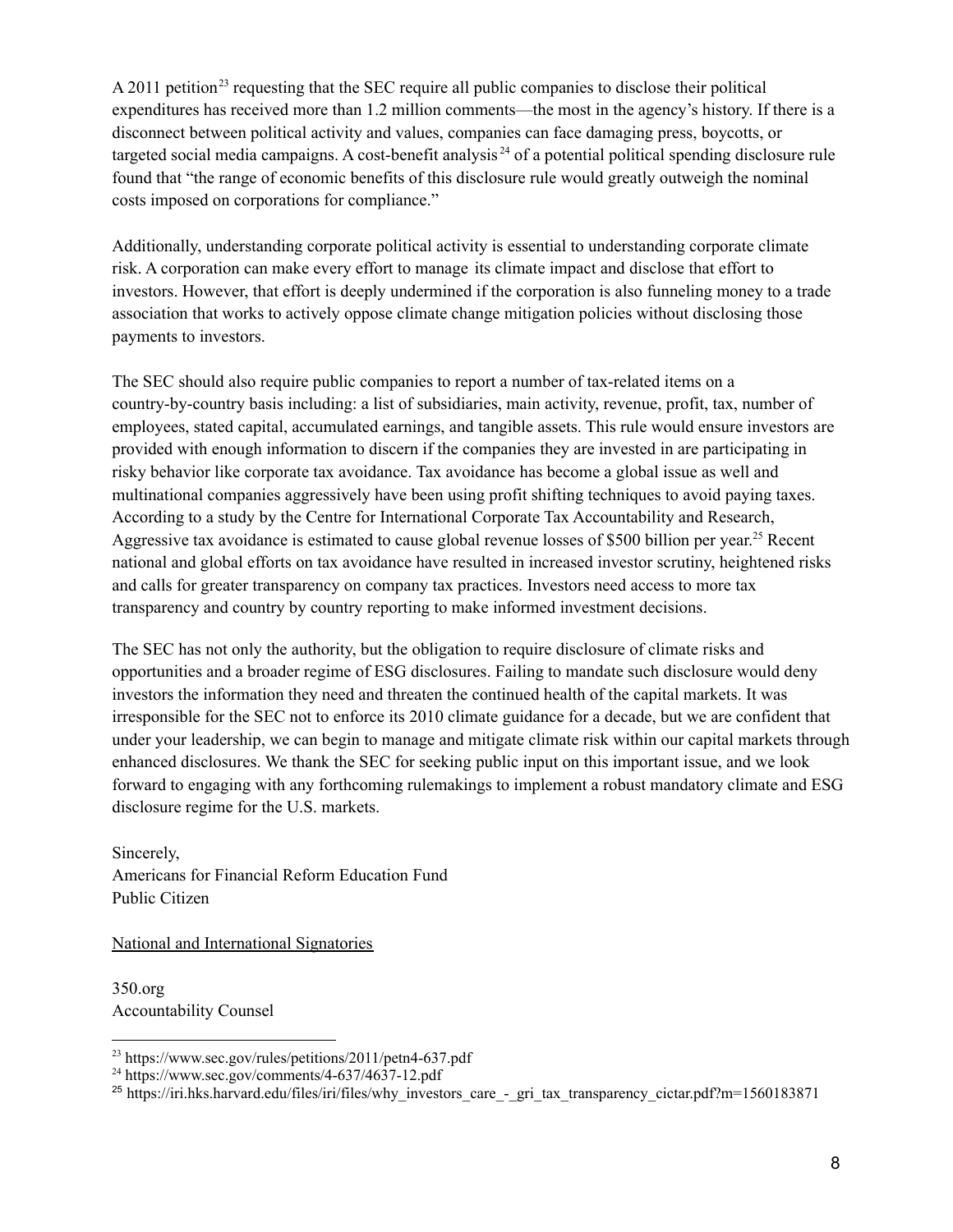A 2011 petition<sup>23</sup> requesting that the SEC require all public companies to disclose their political expenditures has received more than 1.2 million comments—the most in the agency's history. If there is a disconnect between political activity and values, companies can face damaging press, boycotts, or targeted social media campaigns. A cost-benefit analysis<sup>24</sup> of a potential political spending disclosure rule found that "the range of economic benefits of this disclosure rule would greatly outweigh the nominal costs imposed on corporations for compliance."

Additionally, understanding corporate political activity is essential to understanding corporate climate risk. A corporation can make every effort to manage its climate impact and disclose that effort to investors. However, that effort is deeply undermined if the corporation is also funneling money to a trade association that works to actively oppose climate change mitigation policies without disclosing those payments to investors.

The SEC should also require public companies to report a number of tax-related items on a country-by-country basis including: a list of subsidiaries, main activity, revenue, profit, tax, number of employees, stated capital, accumulated earnings, and tangible assets. This rule would ensure investors are provided with enough information to discern if the companies they are invested in are participating in risky behavior like corporate tax avoidance. Tax avoidance has become a global issue as well and multinational companies aggressively have been using profit shifting techniques to avoid paying taxes. According to a study by the Centre for International Corporate Tax Accountability and Research, Aggressive tax avoidance is estimated to cause global revenue losses of \$500 billion per year.<sup>25</sup> Recent national and global efforts on tax avoidance have resulted in increased investor scrutiny, heightened risks and calls for greater transparency on company tax practices. [I](https://iri.hks.harvard.edu/files/iri/files/why_investors_care_-_gri_tax_transparency_cictar.pdf?m=1560183871)nvestors need access to more tax transparency and country by country reporting to make informed investment decisions.

The SEC has not only the authority, but the obligation to require disclosure of climate risks and opportunities and a broader regime of ESG disclosures. Failing to mandate such disclosure would deny investors the information they need and threaten the continued health of the capital markets. It was irresponsible for the SEC not to enforce its 2010 climate guidance for a decade, but we are confident that under your leadership, we can begin to manage and mitigate climate risk within our capital markets through enhanced disclosures. We thank the SEC for seeking public input on this important issue, and we look forward to engaging with any forthcoming rulemakings to implement a robust mandatory climate and ESG disclosure regime for the U.S. markets.

Sincerely, Americans for Financial Reform Education Fund Public Citizen

National and International Signatories

350.org Accountability Counsel

<sup>23</sup> https://www.sec.gov/rules/petitions/2011/petn4-637.pdf

 $^{24}$  https://www.sec.gov/comments/4-637/4637-12.pdf

<sup>&</sup>lt;sup>25</sup> https://iri.hks.harvard.edu/files/iri/files/why\_investors\_care\_-\_gri\_tax\_transparency\_cictar.pdf?m=1560183871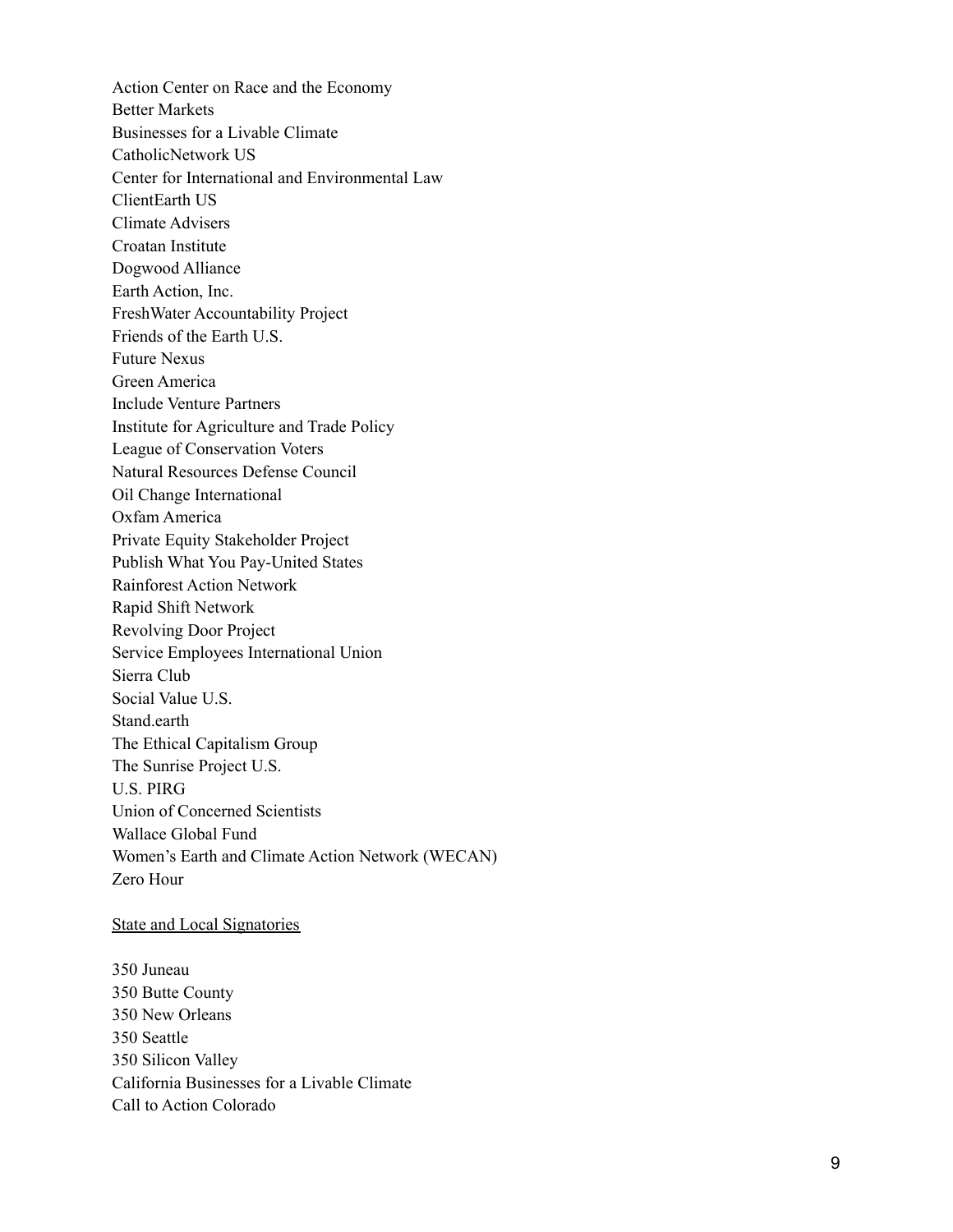Action Center on Race and the Economy Better Markets Businesses for a Livable Climate CatholicNetwork US Center for International and Environmental Law ClientEarth US Climate Advisers Croatan Institute Dogwood Alliance Earth Action, Inc. Fresh Water Accountability Project Friends of the Earth U.S. Future Nexus Green America Include Venture Partners Institute for Agriculture and Trade Policy League of Conservation Voters Natural Resources Defense Council Oil Change International Oxfam America Private Equity Stakeholder Project Publish What You Pay-United States Rainforest Action Network Rapid Shift Network Revolving Door Project Service Employees International Union Sierra Club Social Value U.S. Stand.earth The Ethical Capitalism Group The Sunrise Project U.S. U.S. PIRG Union of Concerned Scientists Wallace Global Fund Women's Earth and Climate Action Network (WECAN) Zero Hour

#### State and Local Signatories

350 Juneau 350 Butte County 350 New Orleans 350 Seattle 350 Silicon Valley California Businesses for a Livable Climate Call to Action Colorado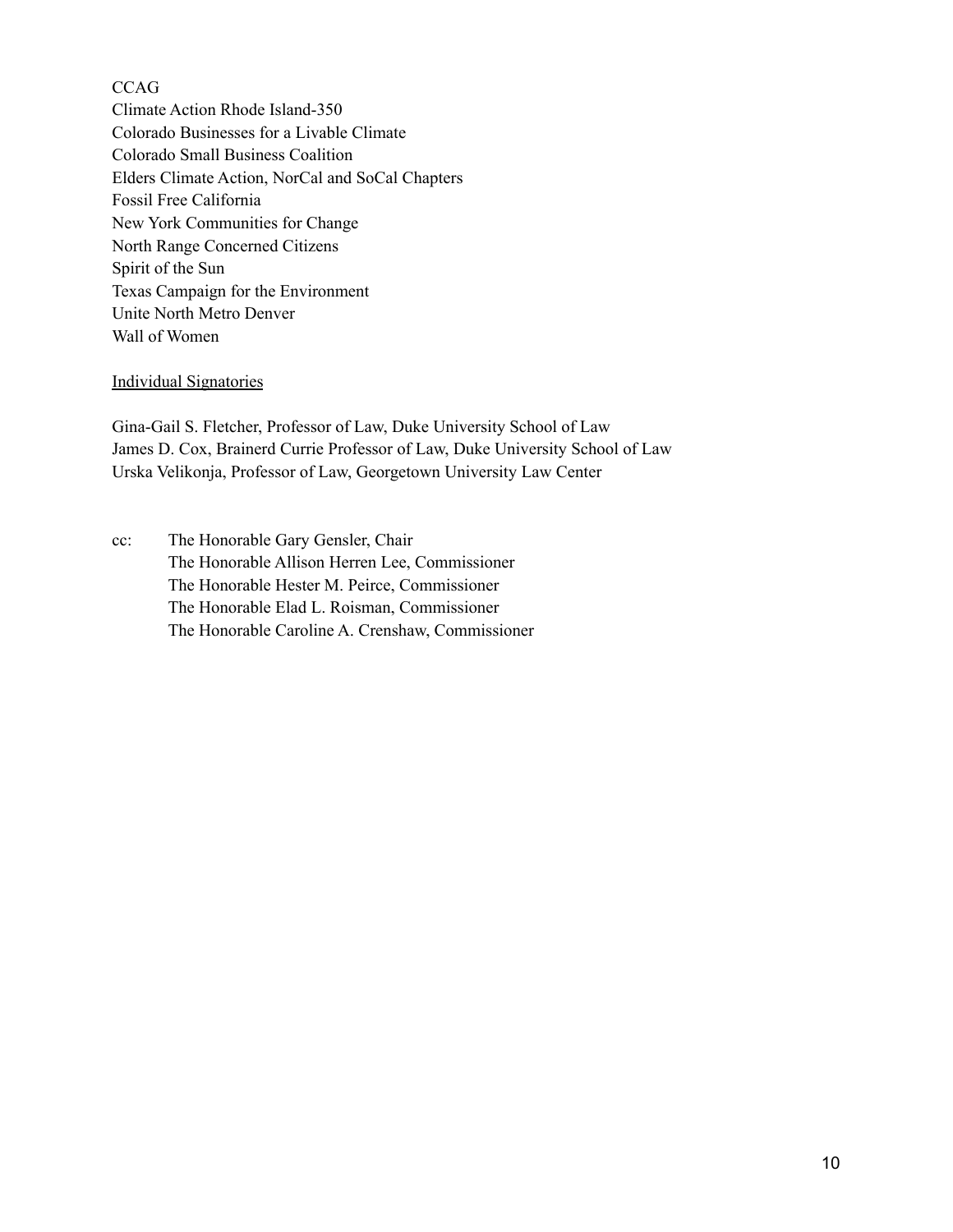# **CCAG**

Climate Action Rhode Island-350 Colorado Businesses for a Livable Climate Colorado Small Business Coalition Elders Climate Action, NorCal and SoCal Chapters Fossil Free California New York Communities for Change North Range Concerned Citizens Spirit of the Sun Texas Campaign for the Environment Unite North Metro Denver Wall of Women

#### Individual Signatories

Gina-Gail S. Fletcher, Professor of Law, Duke University School of Law James D. Cox, Brainerd Currie Professor of Law, Duke University School of Law Urska Velikonja, Professor of Law, Georgetown University Law Center

cc: The Honorable Gary Gensler, Chair The Honorable Allison Herren Lee, Commissioner The Honorable Hester M. Peirce, Commissioner The Honorable Elad L. Roisman, Commissioner The Honorable Caroline A. Crenshaw, Commissioner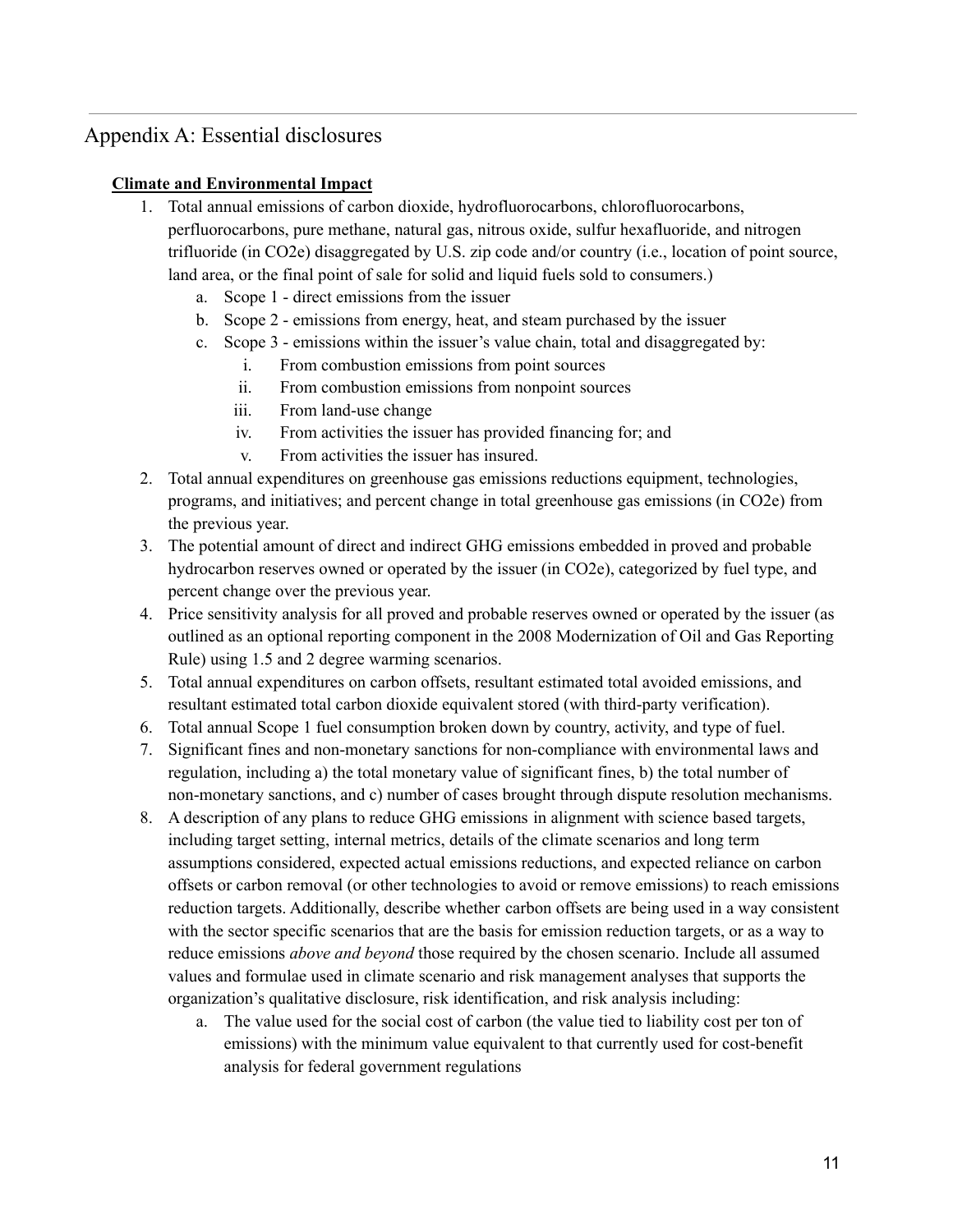# Appendix A: Essential disclosures

# **Climate and Environmental Impact**

- 1. Total annual emissions of carbon dioxide, hydrofluorocarbons, chlorofluorocarbons, perfluorocarbons, pure methane, natural gas, nitrous oxide, sulfur hexafluoride, and nitrogen trifluoride (in CO2e) disaggregated by U.S. zip code and/or country (i.e., location of point source, land area, or the final point of sale for solid and liquid fuels sold to consumers.)
	- a. Scope 1 direct emissions from the issuer
	- b. Scope 2 emissions from energy, heat, and steam purchased by the issuer
	- c. Scope 3 emissions within the issuer's value chain, total and disaggregated by:
		- i. From combustion emissions from point sources
		- ii. From combustion emissions from nonpoint sources
		- iii. From land-use change
		- iv. From activities the issuer has provided financing for; and
		- v. From activities the issuer has insured.
- 2. Total annual expenditures on greenhouse gas emissions reductions equipment, technologies, programs, and initiatives; and percent change in total greenhouse gas emissions (in CO2e) from the previous year.
- 3. The potential amount of direct and indirect GHG emissions embedded in proved and probable hydrocarbon reserves owned or operated by the issuer (in CO2e), categorized by fuel type, and percent change over the previous year.
- 4. Price sensitivity analysis for all proved and probable reserves owned or operated by the issuer (as outlined as an optional reporting component in the 2008 Modernization of Oil and Gas Reporting Rule) using 1.5 and 2 degree warming scenarios.
- 5. Total annual expenditures on carbon offsets, resultant estimated total avoided emissions, and resultant estimated total carbon dioxide equivalent stored (with third-party verification).
- 6. Total annual Scope 1 fuel consumption broken down by country, activity, and type of fuel.
- 7. Significant fines and non-monetary sanctions for non-compliance with environmental laws and regulation, including a) the total monetary value of significant fines, b) the total number of non-monetary sanctions, and c) number of cases brought through dispute resolution mechanisms.
- 8. A description of any plans to reduce GHG emissions in alignment with science based targets, including target setting, internal metrics, details of the climate scenarios and long term assumptions considered, expected actual emissions reductions, and expected reliance on carbon offsets or carbon removal (or other technologies to avoid or remove emissions) to reach emissions reduction targets. Additionally, describe whether carbon offsets are being used in a way consistent with the sector specific scenarios that are the basis for emission reduction targets, or as a way to reduce emissions *above and beyond* those required by the chosen scenario. Include all assumed values and formulae used in climate scenario and risk management analyses that supports the organization's qualitative disclosure, risk identification, and risk analysis including:
	- a. The value used for the social cost of carbon (the value tied to liability cost per ton of emissions) with the minimum value equivalent to that currently used for cost-benefit analysis for federal government regulations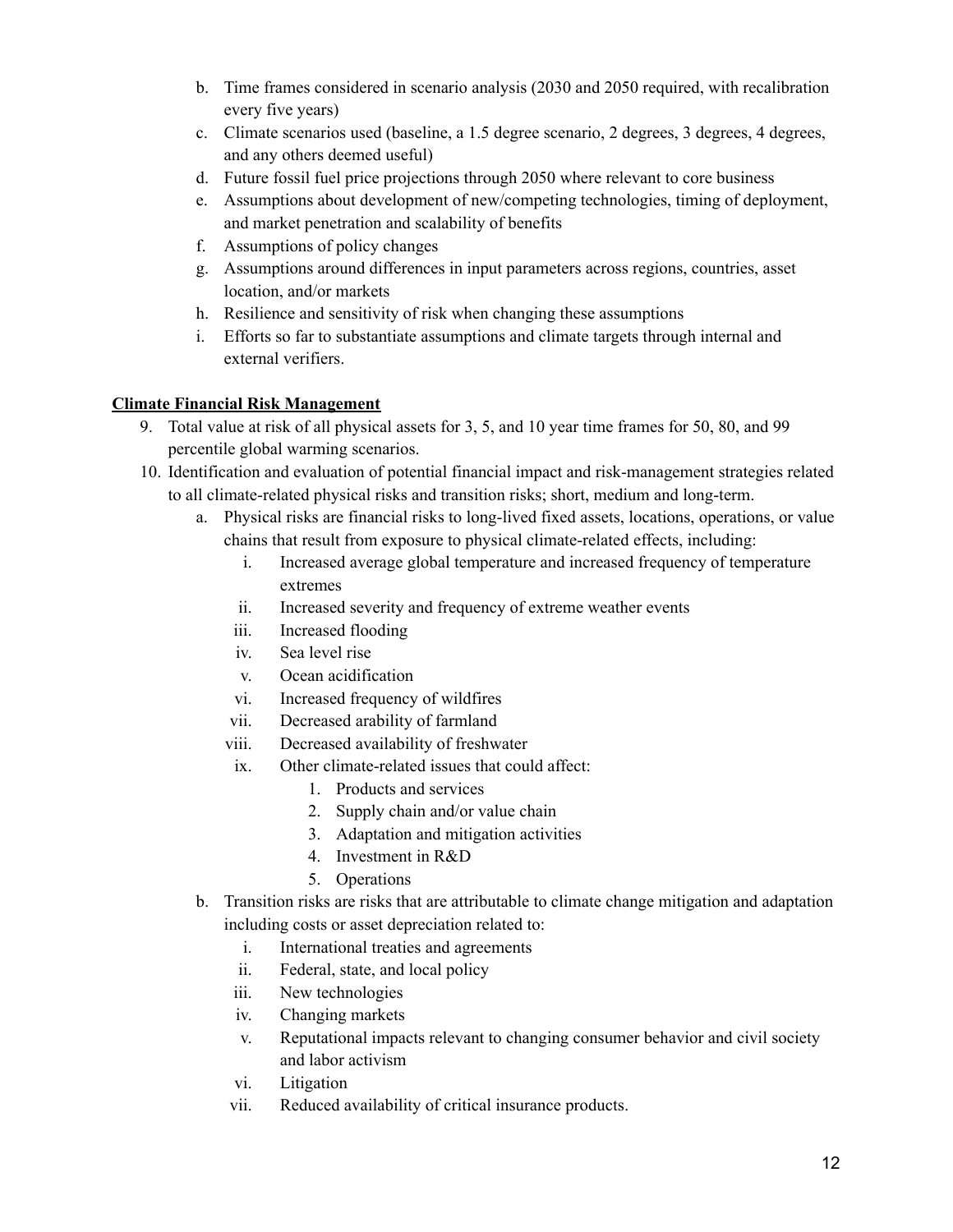- b. Time frames considered in scenario analysis (2030 and 2050 required, with recalibration every five years)
- c. Climate scenarios used (baseline, a 1.5 degree scenario, 2 degrees, 3 degrees, 4 degrees, and any others deemed useful)
- d. Future fossil fuel price projections through 2050 where relevant to core business
- e. Assumptions about development of new/competing technologies, timing of deployment, and market penetration and scalability of benefits
- f. Assumptions of policy changes
- g. Assumptions around differences in input parameters across regions, countries, asset location, and/or markets
- h. Resilience and sensitivity of risk when changing these assumptions
- i. Efforts so far to substantiate assumptions and climate targets through internal and external verifiers.

# **Climate Financial Risk Management**

- 9. Total value at risk of all physical assets for 3, 5, and 10 year time frames for 50, 80, and 99 percentile global warming scenarios.
- 10. Identification and evaluation of potential financial impact and risk-management strategies related to all climate-related physical risks and transition risks; short, medium and long-term.
	- a. Physical risks are financial risks to long-lived fixed assets, locations, operations, or value chains that result from exposure to physical climate-related effects, including:
		- i. Increased average global temperature and increased frequency of temperature extremes
		- ii. Increased severity and frequency of extreme weather events
		- iii. Increased flooding
		- iv. Sea level rise
		- v. Ocean acidification
		- vi. Increased frequency of wildfires
		- vii. Decreased arability of farmland
		- viii. Decreased availability of freshwater
		- ix. Other climate-related issues that could affect:
			- 1. Products and services
			- 2. Supply chain and/or value chain
			- 3. Adaptation and mitigation activities
			- 4. Investment in R&D
			- 5. Operations
	- b. Transition risks are risks that are attributable to climate change mitigation and adaptation including costs or asset depreciation related to:
		- i. International treaties and agreements
		- ii. Federal, state, and local policy
		- iii. New technologies
		- iv. Changing markets
		- v. Reputational impacts relevant to changing consumer behavior and civil society and labor activism
		- vi. Litigation
		- vii. Reduced availability of critical insurance products.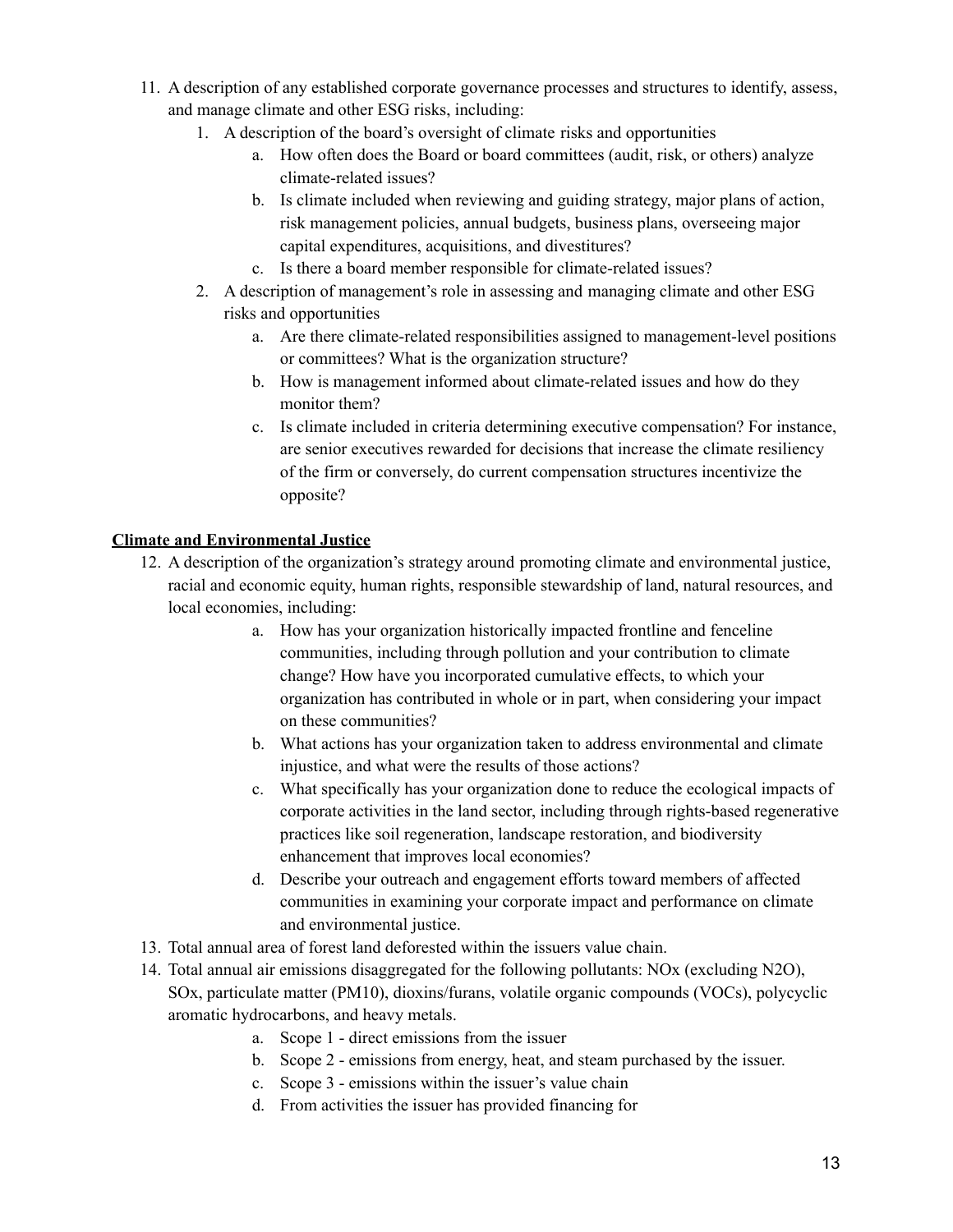- 11. A description of any established corporate governance processes and structures to identify, assess, and manage climate and other ESG risks, including:
	- 1. A description of the board's oversight of climate risks and opportunities
		- a. How often does the Board or board committees (audit, risk, or others) analyze climate-related issues?
		- b. Is climate included when reviewing and guiding strategy, major plans of action, risk management policies, annual budgets, business plans, overseeing major capital expenditures, acquisitions, and divestitures?
		- c. Is there a board member responsible for climate-related issues?
	- 2. A description of management's role in assessing and managing climate and other ESG risks and opportunities
		- a. Are there climate-related responsibilities assigned to management-level positions or committees? What is the organization structure?
		- b. How is management informed about climate-related issues and how do they monitor them?
		- c. Is climate included in criteria determining executive compensation? For instance, are senior executives rewarded for decisions that increase the climate resiliency of the firm or conversely, do current compensation structures incentivize the opposite?

# **Climate and Environmental Justice**

- 12. A description of the organization's strategy around promoting climate and environmental justice, racial and economic equity, human rights, responsible stewardship of land, natural resources, and local economies, including:
	- a. How has your organization historically impacted frontline and fenceline communities, including through pollution and your contribution to climate change? How have you incorporated cumulative effects, to which your organization has contributed in whole or in part, when considering your impact on these communities?
	- b. What actions has your organization taken to address environmental and climate injustice, and what were the results of those actions?
	- c. What specifically has your organization done to reduce the ecological impacts of corporate activities in the land sector, including through rights-based regenerative practices like soil regeneration, landscape restoration, and biodiversity enhancement that improves local economies?
	- d. Describe your outreach and engagement efforts toward members of affected communities in examining your corporate impact and performance on climate and environmental justice.
- 13. Total annual area of forest land deforested within the issuers value chain.
- 14. Total annual air emissions disaggregated for the following pollutants: NOx (excluding N2O), SOx, particulate matter (PM10), dioxins/furans, volatile organic compounds (VOCs), polycyclic aromatic hydrocarbons, and heavy metals.
	- a. Scope 1 direct emissions from the issuer
	- b. Scope 2 emissions from energy, heat, and steam purchased by the issuer.
	- c. Scope 3 emissions within the issuer's value chain
	- d. From activities the issuer has provided financing for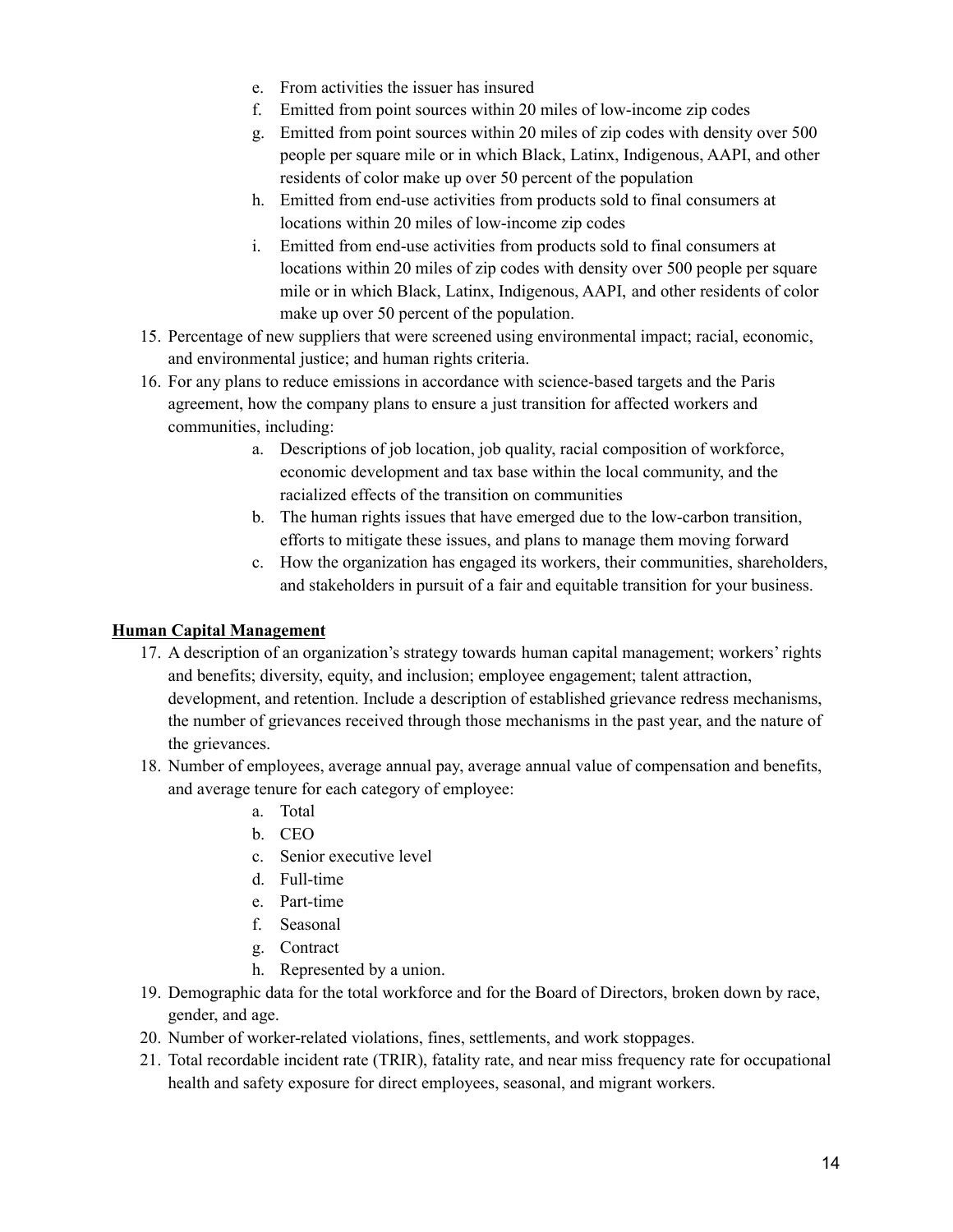- e. From activities the issuer has insured
- f. Emitted from point sources within 20 miles of low-income zip codes
- g. Emitted from point sources within 20 miles of zip codes with density over 500 people per square mile or in which Black, Latinx, Indigenous, AAPI, and other residents of color make up over 50 percent of the population
- h. Emitted from end-use activities from products sold to final consumers at locations within 20 miles of low-income zip codes
- i. Emitted from end-use activities from products sold to final consumers at locations within 20 miles of zip codes with density over 500 people per square mile or in which Black, Latinx, Indigenous, AAPI, and other residents of color make up over 50 percent of the population.
- 15. Percentage of new suppliers that were screened using environmental impact; racial, economic, and environmental justice; and human rights criteria.
- 16. For any plans to reduce emissions in accordance with science-based targets and the Paris agreement, how the company plans to ensure a just transition for affected workers and communities, including:
	- a. Descriptions of job location, job quality, racial composition of workforce, economic development and tax base within the local community, and the racialized effects of the transition on communities
	- b. The human rights issues that have emerged due to the low-carbon transition, efforts to mitigate these issues, and plans to manage them moving forward
	- c. How the organization has engaged its workers, their communities, shareholders, and stakeholders in pursuit of a fair and equitable transition for your business.

# **Human Capital Management**

- 17. A description of an organization's strategy towards human capital management; workers' rights and benefits; diversity, equity, and inclusion; employee engagement; talent attraction, development, and retention. Include a description of established grievance redress mechanisms, the number of grievances received through those mechanisms in the past year, and the nature of the grievances.
- 18. Number of employees, average annual pay, average annual value of compensation and benefits, and average tenure for each category of employee:
	- a. Total
	- b. CEO
	- c. Senior executive level
	- d. Full-time
	- e. Part-time
	- f. Seasonal
	- g. Contract
	- h. Represented by a union.
- 19. Demographic data for the total workforce and for the Board of Directors, broken down by race, gender, and age.
- 20. Number of worker-related violations, fines, settlements, and work stoppages.
- 21. Total recordable incident rate (TRIR), fatality rate, and near miss frequency rate for occupational health and safety exposure for direct employees, seasonal, and migrant workers.